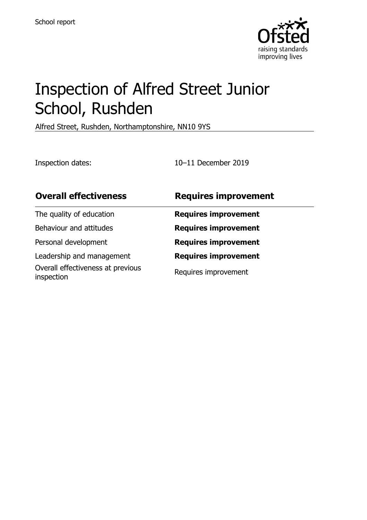

# Inspection of Alfred Street Junior School, Rushden

Alfred Street, Rushden, Northamptonshire, NN10 9YS

Inspection dates: 10–11 December 2019

| <b>Overall effectiveness</b>                    | <b>Requires improvement</b> |
|-------------------------------------------------|-----------------------------|
| The quality of education                        | <b>Requires improvement</b> |
| Behaviour and attitudes                         | <b>Requires improvement</b> |
| Personal development                            | <b>Requires improvement</b> |
| Leadership and management                       | <b>Requires improvement</b> |
| Overall effectiveness at previous<br>inspection | Requires improvement        |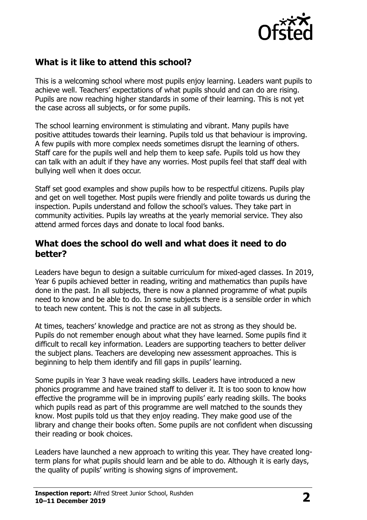

# **What is it like to attend this school?**

This is a welcoming school where most pupils enjoy learning. Leaders want pupils to achieve well. Teachers' expectations of what pupils should and can do are rising. Pupils are now reaching higher standards in some of their learning. This is not yet the case across all subjects, or for some pupils.

The school learning environment is stimulating and vibrant. Many pupils have positive attitudes towards their learning. Pupils told us that behaviour is improving. A few pupils with more complex needs sometimes disrupt the learning of others. Staff care for the pupils well and help them to keep safe. Pupils told us how they can talk with an adult if they have any worries. Most pupils feel that staff deal with bullying well when it does occur.

Staff set good examples and show pupils how to be respectful citizens. Pupils play and get on well together. Most pupils were friendly and polite towards us during the inspection. Pupils understand and follow the school's values. They take part in community activities. Pupils lay wreaths at the yearly memorial service. They also attend armed forces days and donate to local food banks.

#### **What does the school do well and what does it need to do better?**

Leaders have begun to design a suitable curriculum for mixed-aged classes. In 2019, Year 6 pupils achieved better in reading, writing and mathematics than pupils have done in the past. In all subjects, there is now a planned programme of what pupils need to know and be able to do. In some subjects there is a sensible order in which to teach new content. This is not the case in all subjects.

At times, teachers' knowledge and practice are not as strong as they should be. Pupils do not remember enough about what they have learned. Some pupils find it difficult to recall key information. Leaders are supporting teachers to better deliver the subject plans. Teachers are developing new assessment approaches. This is beginning to help them identify and fill gaps in pupils' learning.

Some pupils in Year 3 have weak reading skills. Leaders have introduced a new phonics programme and have trained staff to deliver it. It is too soon to know how effective the programme will be in improving pupils' early reading skills. The books which pupils read as part of this programme are well matched to the sounds they know. Most pupils told us that they enjoy reading. They make good use of the library and change their books often. Some pupils are not confident when discussing their reading or book choices.

Leaders have launched a new approach to writing this year. They have created longterm plans for what pupils should learn and be able to do. Although it is early days, the quality of pupils' writing is showing signs of improvement.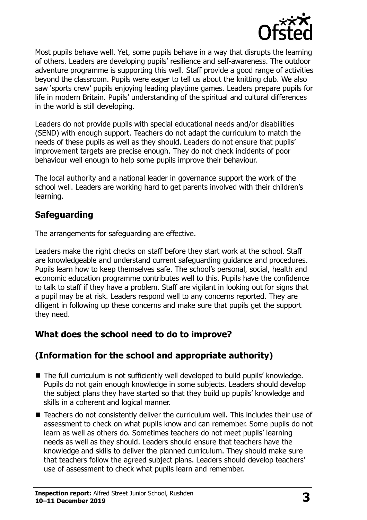

Most pupils behave well. Yet, some pupils behave in a way that disrupts the learning of others. Leaders are developing pupils' resilience and self-awareness. The outdoor adventure programme is supporting this well. Staff provide a good range of activities beyond the classroom. Pupils were eager to tell us about the knitting club. We also saw 'sports crew' pupils enjoying leading playtime games. Leaders prepare pupils for life in modern Britain. Pupils' understanding of the spiritual and cultural differences in the world is still developing.

Leaders do not provide pupils with special educational needs and/or disabilities (SEND) with enough support. Teachers do not adapt the curriculum to match the needs of these pupils as well as they should. Leaders do not ensure that pupils' improvement targets are precise enough. They do not check incidents of poor behaviour well enough to help some pupils improve their behaviour.

The local authority and a national leader in governance support the work of the school well. Leaders are working hard to get parents involved with their children's learning.

### **Safeguarding**

The arrangements for safeguarding are effective.

Leaders make the right checks on staff before they start work at the school. Staff are knowledgeable and understand current safeguarding guidance and procedures. Pupils learn how to keep themselves safe. The school's personal, social, health and economic education programme contributes well to this. Pupils have the confidence to talk to staff if they have a problem. Staff are vigilant in looking out for signs that a pupil may be at risk. Leaders respond well to any concerns reported. They are diligent in following up these concerns and make sure that pupils get the support they need.

# **What does the school need to do to improve?**

# **(Information for the school and appropriate authority)**

- The full curriculum is not sufficiently well developed to build pupils' knowledge. Pupils do not gain enough knowledge in some subjects. Leaders should develop the subject plans they have started so that they build up pupils' knowledge and skills in a coherent and logical manner.
- Teachers do not consistently deliver the curriculum well. This includes their use of assessment to check on what pupils know and can remember. Some pupils do not learn as well as others do. Sometimes teachers do not meet pupils' learning needs as well as they should. Leaders should ensure that teachers have the knowledge and skills to deliver the planned curriculum. They should make sure that teachers follow the agreed subject plans. Leaders should develop teachers' use of assessment to check what pupils learn and remember.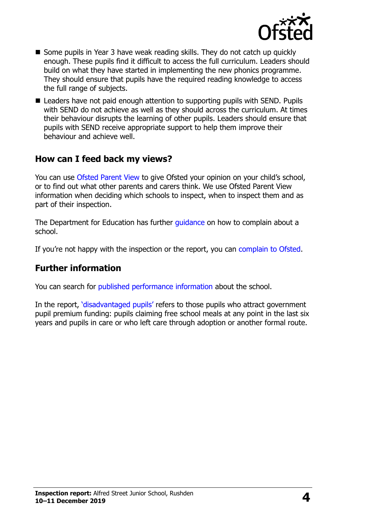

- Some pupils in Year 3 have weak reading skills. They do not catch up quickly enough. These pupils find it difficult to access the full curriculum. Leaders should build on what they have started in implementing the new phonics programme. They should ensure that pupils have the required reading knowledge to access the full range of subjects.
- Leaders have not paid enough attention to supporting pupils with SEND. Pupils with SEND do not achieve as well as they should across the curriculum. At times their behaviour disrupts the learning of other pupils. Leaders should ensure that pupils with SEND receive appropriate support to help them improve their behaviour and achieve well.

## **How can I feed back my views?**

You can use [Ofsted Parent View](http://parentview.ofsted.gov.uk/) to give Ofsted your opinion on your child's school, or to find out what other parents and carers think. We use Ofsted Parent View information when deciding which schools to inspect, when to inspect them and as part of their inspection.

The Department for Education has further *quidance* on how to complain about a school.

If you're not happy with the inspection or the report, you can [complain to Ofsted.](http://www.gov.uk/complain-ofsted-report)

#### **Further information**

You can search for [published performance information](http://www.compare-school-performance.service.gov.uk/) about the school.

In the report, '[disadvantaged pupils](http://www.gov.uk/guidance/pupil-premium-information-for-schools-and-alternative-provision-settings)' refers to those pupils who attract government pupil premium funding: pupils claiming free school meals at any point in the last six years and pupils in care or who left care through adoption or another formal route.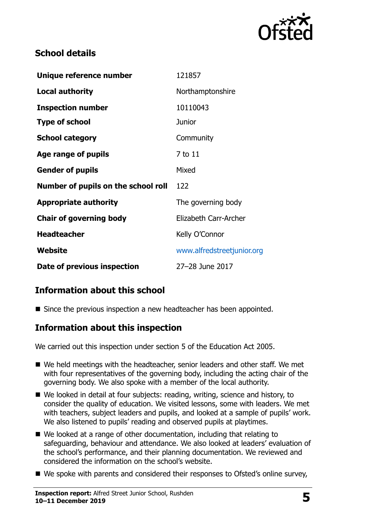

# **School details**

| Unique reference number             | 121857                     |
|-------------------------------------|----------------------------|
| Local authority                     | Northamptonshire           |
| <b>Inspection number</b>            | 10110043                   |
| <b>Type of school</b>               | <b>Junior</b>              |
| <b>School category</b>              | Community                  |
| Age range of pupils                 | 7 to 11                    |
| <b>Gender of pupils</b>             | Mixed                      |
| Number of pupils on the school roll | 122                        |
| <b>Appropriate authority</b>        | The governing body         |
| <b>Chair of governing body</b>      | Elizabeth Carr-Archer      |
| <b>Headteacher</b>                  | Kelly O'Connor             |
| <b>Website</b>                      | www.alfredstreetjunior.org |
| Date of previous inspection         | 27-28 June 2017            |

# **Information about this school**

Since the previous inspection a new headteacher has been appointed.

### **Information about this inspection**

We carried out this inspection under section 5 of the Education Act 2005.

- We held meetings with the headteacher, senior leaders and other staff. We met with four representatives of the governing body, including the acting chair of the governing body. We also spoke with a member of the local authority.
- We looked in detail at four subjects: reading, writing, science and history, to consider the quality of education. We visited lessons, some with leaders. We met with teachers, subject leaders and pupils, and looked at a sample of pupils' work. We also listened to pupils' reading and observed pupils at playtimes.
- We looked at a range of other documentation, including that relating to safeguarding, behaviour and attendance. We also looked at leaders' evaluation of the school's performance, and their planning documentation. We reviewed and considered the information on the school's website.
- We spoke with parents and considered their responses to Ofsted's online survey,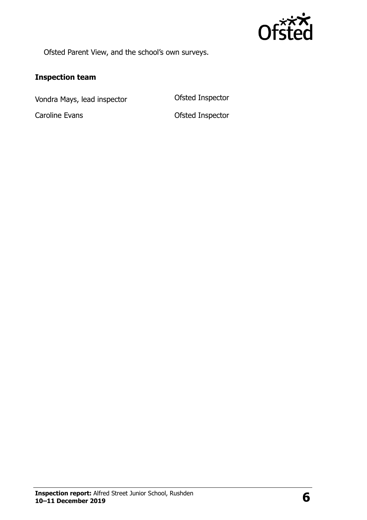

Ofsted Parent View, and the school's own surveys.

# **Inspection team**

Vondra Mays, lead inspector **Conservative Conservation** Ofsted Inspector

Caroline Evans **Caroline Evans Caroline Evans**